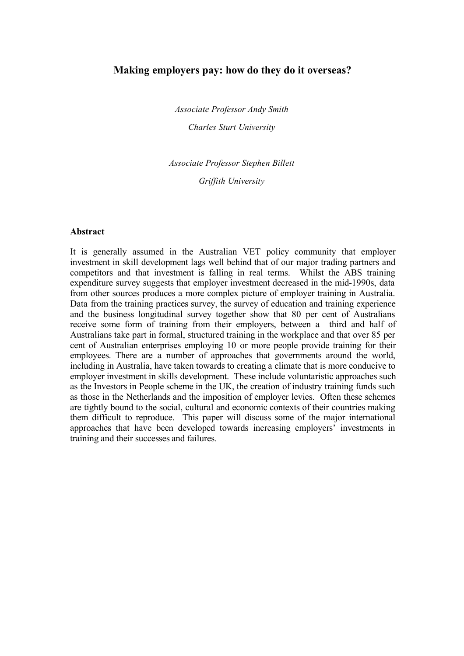# **Making employers pay: how do they do it overseas?**

*Associate Professor Andy Smith Charles Sturt University*

*Associate Professor Stephen Billett Griffith University*

#### **Abstract**

It is generally assumed in the Australian VET policy community that employer investment in skill development lags well behind that of our major trading partners and competitors and that investment is falling in real terms. Whilst the ABS training expenditure survey suggests that employer investment decreased in the mid-1990s, data from other sources produces a more complex picture of employer training in Australia. Data from the training practices survey, the survey of education and training experience and the business longitudinal survey together show that 80 per cent of Australians receive some form of training from their employers, between a third and half of Australians take part in formal, structured training in the workplace and that over 85 per cent of Australian enterprises employing 10 or more people provide training for their employees. There are a number of approaches that governments around the world, including in Australia, have taken towards to creating a climate that is more conducive to employer investment in skills development. These include voluntaristic approaches such as the Investors in People scheme in the UK, the creation of industry training funds such as those in the Netherlands and the imposition of employer levies. Often these schemes are tightly bound to the social, cultural and economic contexts of their countries making them difficult to reproduce. This paper will discuss some of the major international approaches that have been developed towards increasing employers' investments in training and their successes and failures.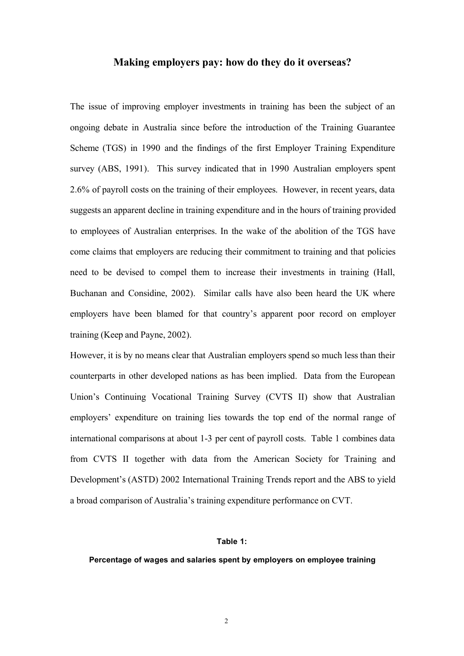## **Making employers pay: how do they do it overseas?**

The issue of improving employer investments in training has been the subject of an ongoing debate in Australia since before the introduction of the Training Guarantee Scheme (TGS) in 1990 and the findings of the first Employer Training Expenditure survey (ABS, 1991). This survey indicated that in 1990 Australian employers spent 2.6% of payroll costs on the training of their employees. However, in recent years, data suggests an apparent decline in training expenditure and in the hours of training provided to employees of Australian enterprises. In the wake of the abolition of the TGS have come claims that employers are reducing their commitment to training and that policies need to be devised to compel them to increase their investments in training (Hall, Buchanan and Considine, 2002). Similar calls have also been heard the UK where employers have been blamed for that country's apparent poor record on employer training (Keep and Payne, 2002).

However, it is by no means clear that Australian employers spend so much less than their counterparts in other developed nations as has been implied. Data from the European Union's Continuing Vocational Training Survey (CVTS II) show that Australian employers' expenditure on training lies towards the top end of the normal range of international comparisons at about 1-3 per cent of payroll costs. Table 1 combines data from CVTS II together with data from the American Society for Training and Development's (ASTD) 2002 International Training Trends report and the ABS to yield a broad comparison of Australia's training expenditure performance on CVT.

### **Table 1:**

#### **Percentage of wages and salaries spent by employers on employee training**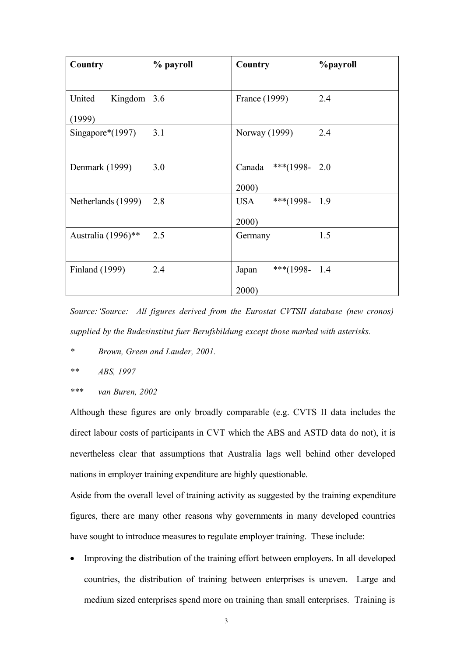| Country            | % payroll | Country                 | <b>%payroll</b> |
|--------------------|-----------|-------------------------|-----------------|
|                    |           |                         |                 |
| Kingdom<br>United  | 3.6       | France (1999)           | 2.4             |
| (1999)             |           |                         |                 |
| Singapore*(1997)   | 3.1       | Norway (1999)           | 2.4             |
|                    |           |                         |                 |
| Denmark (1999)     | 3.0       | ***(1998-<br>Canada     | 2.0             |
|                    |           | 2000)                   |                 |
| Netherlands (1999) | 2.8       | ***(1998-<br><b>USA</b> | 1.9             |
|                    |           | 2000)                   |                 |
| Australia (1996)** | 2.5       | Germany                 | 1.5             |
|                    |           |                         |                 |
| Finland (1999)     | 2.4       | ***(1998-<br>Japan      | 1.4             |
|                    |           | 2000)                   |                 |

*Source:'Source: All figures derived from the Eurostat CVTSII database (new cronos) supplied by the Budesinstitut fuer Berufsbildung except those marked with asterisks.*

- *\* Brown, Green and Lauder, 2001.*
- *\*\* ABS, 1997*
- *\*\*\* van Buren, 2002*

Although these figures are only broadly comparable (e.g. CVTS II data includes the direct labour costs of participants in CVT which the ABS and ASTD data do not), it is nevertheless clear that assumptions that Australia lags well behind other developed nations in employer training expenditure are highly questionable.

Aside from the overall level of training activity as suggested by the training expenditure figures, there are many other reasons why governments in many developed countries have sought to introduce measures to regulate employer training. These include:

• Improving the distribution of the training effort between employers. In all developed countries, the distribution of training between enterprises is uneven. Large and medium sized enterprises spend more on training than small enterprises. Training is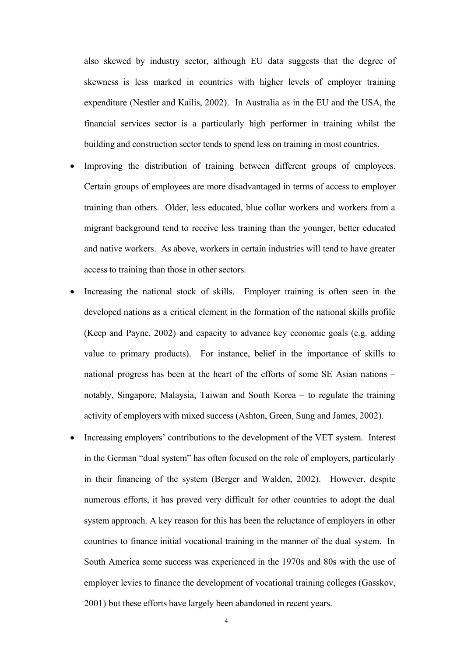also skewed by industry sector, although EU data suggests that the degree of skewness is less marked in countries with higher levels of employer training expenditure (Nestler and Kailis, 2002). In Australia as in the EU and the USA, the financial services sector is a particularly high performer in training whilst the building and construction sector tends to spend less on training in most countries.

- Improving the distribution of training between different groups of employees. Certain groups of employees are more disadvantaged in terms of access to employer training than others. Older, less educated, blue collar workers and workers from a migrant background tend to receive less training than the younger, better educated and native workers. As above, workers in certain industries will tend to have greater access to training than those in other sectors.
- Increasing the national stock of skills. Employer training is often seen in the developed nations as a critical element in the formation of the national skills profile (Keep and Payne, 2002) and capacity to advance key economic goals (e.g. adding value to primary products). For instance, belief in the importance of skills to national progress has been at the heart of the efforts of some SE Asian nations – notably, Singapore, Malaysia, Taiwan and South Korea – to regulate the training activity of employers with mixed success(Ashton, Green, Sung and James, 2002).
- Increasing employers' contributions to the development of the VET system. Interest in the German "dual system" has often focused on the role of employers, particularly in their financing of the system (Berger and Walden, 2002). However, despite numerous efforts, it has proved very difficult for other countries to adopt the dual system approach. A key reason for this has been the reluctance of employers in other countries to finance initial vocational training in the manner of the dual system. In South America some success was experienced in the 1970s and 80s with the use of employer levies to finance the development of vocational training colleges (Gasskov, 2001) but these efforts have largely been abandoned in recent years.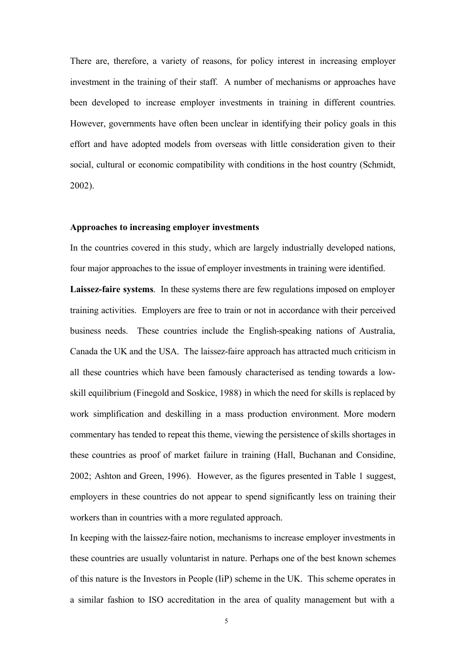There are, therefore, a variety of reasons, for policy interest in increasing employer investment in the training of their staff. A number of mechanisms or approaches have been developed to increase employer investments in training in different countries. However, governments have often been unclear in identifying their policy goals in this effort and have adopted models from overseas with little consideration given to their social, cultural or economic compatibility with conditions in the host country (Schmidt, 2002).

### **Approaches to increasing employer investments**

In the countries covered in this study, which are largely industrially developed nations, four major approaches to the issue of employer investments in training were identified.

**Laissez-faire systems**. In these systems there are few regulations imposed on employer training activities. Employers are free to train or not in accordance with their perceived business needs. These countries include the English-speaking nations of Australia, Canada the UK and the USA. The laissez-faire approach has attracted much criticism in all these countries which have been famously characterised as tending towards a lowskill equilibrium (Finegold and Soskice, 1988) in which the need for skills is replaced by work simplification and deskilling in a mass production environment. More modern commentary has tended to repeat this theme, viewing the persistence of skills shortages in these countries as proof of market failure in training (Hall, Buchanan and Considine, 2002; Ashton and Green, 1996). However, as the figures presented in Table 1 suggest, employers in these countries do not appear to spend significantly less on training their workers than in countries with a more regulated approach.

In keeping with the laissez-faire notion, mechanisms to increase employer investments in these countries are usually voluntarist in nature. Perhaps one of the best known schemes of this nature is the Investors in People (IiP) scheme in the UK. This scheme operates in a similar fashion to ISO accreditation in the area of quality management but with a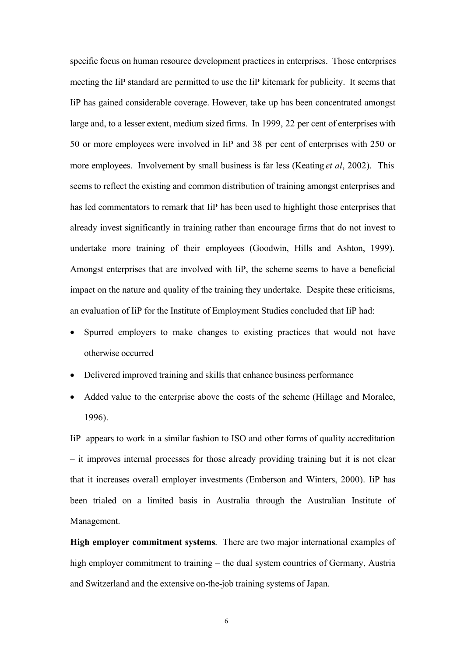specific focus on human resource development practices in enterprises. Those enterprises meeting the IiP standard are permitted to use the IiP kitemark for publicity. It seems that IiP has gained considerable coverage. However, take up has been concentrated amongst large and, to a lesser extent, medium sized firms. In 1999, 22 per cent of enterprises with 50 or more employees were involved in IiP and 38 per cent of enterprises with 250 or more employees. Involvement by small business is far less (Keating *et al*, 2002). This seems to reflect the existing and common distribution of training amongst enterprises and has led commentators to remark that IiP has been used to highlight those enterprises that already invest significantly in training rather than encourage firms that do not invest to undertake more training of their employees (Goodwin, Hills and Ashton, 1999). Amongst enterprises that are involved with IiP, the scheme seems to have a beneficial impact on the nature and quality of the training they undertake. Despite these criticisms, an evaluation of IiP for the Institute of Employment Studies concluded that IiP had:

- Spurred employers to make changes to existing practices that would not have otherwise occurred
- Delivered improved training and skills that enhance business performance
- Added value to the enterprise above the costs of the scheme (Hillage and Moralee, 1996).

IiP appears to work in a similar fashion to ISO and other forms of quality accreditation – it improves internal processes for those already providing training but it is not clear that it increases overall employer investments (Emberson and Winters, 2000). IiP has been trialed on a limited basis in Australia through the Australian Institute of Management.

**High employer commitment systems**. There are two major international examples of high employer commitment to training – the dual system countries of Germany, Austria and Switzerland and the extensive on-the-job training systems of Japan.

6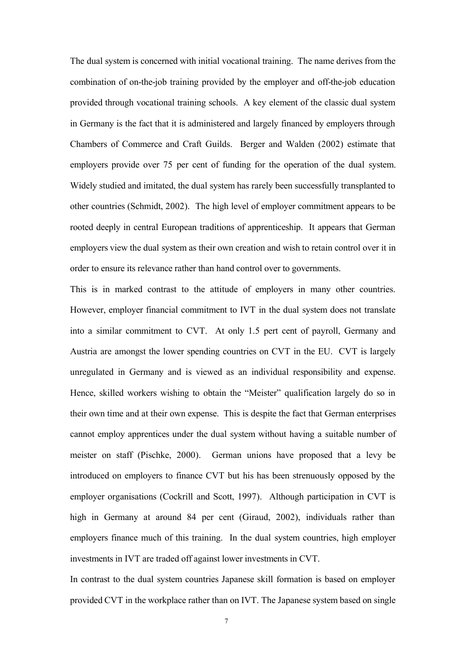The dual system is concerned with initial vocational training. The name derives from the combination of on-the-job training provided by the employer and off-the-job education provided through vocational training schools. A key element of the classic dual system in Germany is the fact that it is administered and largely financed by employers through Chambers of Commerce and Craft Guilds. Berger and Walden (2002) estimate that employers provide over 75 per cent of funding for the operation of the dual system. Widely studied and imitated, the dual system has rarely been successfully transplanted to other countries (Schmidt, 2002). The high level of employer commitment appears to be rooted deeply in central European traditions of apprenticeship. It appears that German employers view the dual system as their own creation and wish to retain control over it in order to ensure its relevance rather than hand control over to governments.

This is in marked contrast to the attitude of employers in many other countries. However, employer financial commitment to IVT in the dual system does not translate into a similar commitment to CVT. At only 1.5 pert cent of payroll, Germany and Austria are amongst the lower spending countries on CVT in the EU. CVT is largely unregulated in Germany and is viewed as an individual responsibility and expense. Hence, skilled workers wishing to obtain the "Meister" qualification largely do so in their own time and at their own expense. This is despite the fact that German enterprises cannot employ apprentices under the dual system without having a suitable number of meister on staff (Pischke, 2000). German unions have proposed that a levy be introduced on employers to finance CVT but his has been strenuously opposed by the employer organisations (Cockrill and Scott, 1997). Although participation in CVT is high in Germany at around 84 per cent (Giraud, 2002), individuals rather than employers finance much of this training. In the dual system countries, high employer investments in IVT are traded off against lower investments in CVT.

In contrast to the dual system countries Japanese skill formation is based on employer provided CVT in the workplace rather than on IVT. The Japanese system based on single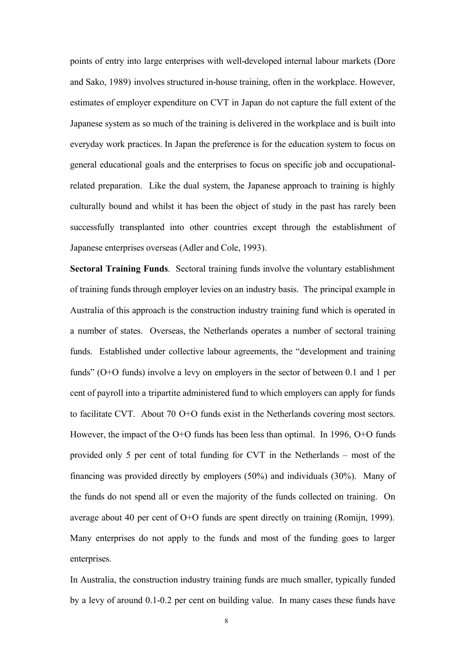points of entry into large enterprises with well-developed internal labour markets (Dore and Sako, 1989) involves structured in-house training, often in the workplace. However, estimates of employer expenditure on CVT in Japan do not capture the full extent of the Japanese system as so much of the training is delivered in the workplace and is built into everyday work practices. In Japan the preference is for the education system to focus on general educational goals and the enterprises to focus on specific job and occupationalrelated preparation. Like the dual system, the Japanese approach to training is highly culturally bound and whilst it has been the object of study in the past has rarely been successfully transplanted into other countries except through the establishment of Japanese enterprises overseas (Adler and Cole, 1993).

**Sectoral Training Funds**. Sectoral training funds involve the voluntary establishment of training funds through employer levies on an industry basis. The principal example in Australia of this approach is the construction industry training fund which is operated in a number of states. Overseas, the Netherlands operates a number of sectoral training funds. Established under collective labour agreements, the "development and training funds" (O+O funds) involve a levy on employers in the sector of between 0.1 and 1 per cent of payroll into a tripartite administered fund to which employers can apply for funds to facilitate CVT. About 70 O+O funds exist in the Netherlands covering most sectors. However, the impact of the O+O funds has been less than optimal. In 1996, O+O funds provided only 5 per cent of total funding for CVT in the Netherlands – most of the financing was provided directly by employers (50%) and individuals (30%). Many of the funds do not spend all or even the majority of the funds collected on training. On average about 40 per cent of O+O funds are spent directly on training (Romijn, 1999). Many enterprises do not apply to the funds and most of the funding goes to larger enterprises.

In Australia, the construction industry training funds are much smaller, typically funded by a levy of around 0.1-0.2 per cent on building value. In many cases these funds have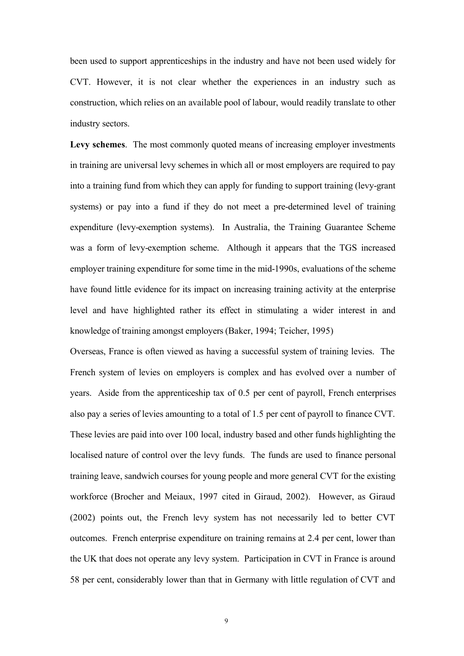been used to support apprenticeships in the industry and have not been used widely for CVT. However, it is not clear whether the experiences in an industry such as construction, which relies on an available pool of labour, would readily translate to other industry sectors.

**Levy schemes**. The most commonly quoted means of increasing employer investments in training are universal levy schemes in which all or most employers are required to pay into a training fund from which they can apply for funding to support training (levy-grant systems) or pay into a fund if they do not meet a pre-determined level of training expenditure (levy-exemption systems). In Australia, the Training Guarantee Scheme was a form of levy-exemption scheme. Although it appears that the TGS increased employer training expenditure for some time in the mid-1990s, evaluations of the scheme have found little evidence for its impact on increasing training activity at the enterprise level and have highlighted rather its effect in stimulating a wider interest in and knowledge of training amongst employers (Baker, 1994; Teicher, 1995)

Overseas, France is often viewed as having a successful system of training levies. The French system of levies on employers is complex and has evolved over a number of years. Aside from the apprenticeship tax of 0.5 per cent of payroll, French enterprises also pay a series of levies amounting to a total of 1.5 per cent of payroll to finance CVT. These levies are paid into over 100 local, industry based and other funds highlighting the localised nature of control over the levy funds. The funds are used to finance personal training leave, sandwich courses for young people and more general CVT for the existing workforce (Brocher and Meiaux, 1997 cited in Giraud, 2002). However, as Giraud (2002) points out, the French levy system has not necessarily led to better CVT outcomes. French enterprise expenditure on training remains at 2.4 per cent, lower than the UK that does not operate any levy system. Participation in CVT in France is around 58 per cent, considerably lower than that in Germany with little regulation of CVT and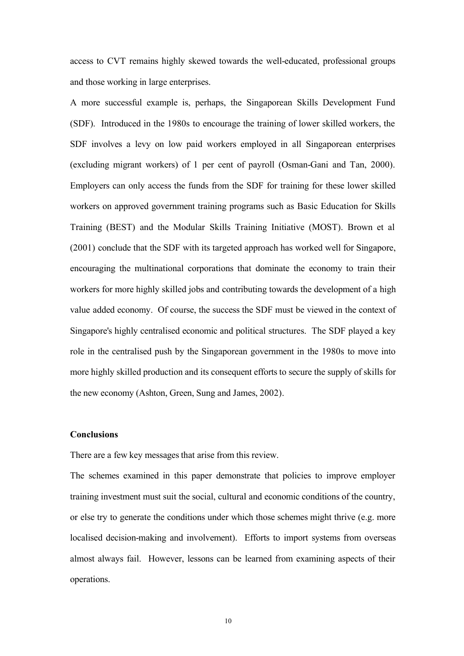access to CVT remains highly skewed towards the well-educated, professional groups and those working in large enterprises.

A more successful example is, perhaps, the Singaporean Skills Development Fund (SDF). Introduced in the 1980s to encourage the training of lower skilled workers, the SDF involves a levy on low paid workers employed in all Singaporean enterprises (excluding migrant workers) of 1 per cent of payroll (Osman-Gani and Tan, 2000). Employers can only access the funds from the SDF for training for these lower skilled workers on approved government training programs such as Basic Education for Skills Training (BEST) and the Modular Skills Training Initiative (MOST). Brown et al (2001) conclude that the SDF with its targeted approach has worked well for Singapore, encouraging the multinational corporations that dominate the economy to train their workers for more highly skilled jobs and contributing towards the development of a high value added economy. Of course, the success the SDF must be viewed in the context of Singapore's highly centralised economic and political structures. The SDF played a key role in the centralised push by the Singaporean government in the 1980s to move into more highly skilled production and its consequent efforts to secure the supply of skills for the new economy (Ashton, Green, Sung and James, 2002).

#### **Conclusions**

There are a few key messages that arise from this review.

The schemes examined in this paper demonstrate that policies to improve employer training investment must suit the social, cultural and economic conditions of the country, or else try to generate the conditions under which those schemes might thrive (e.g. more localised decision-making and involvement). Efforts to import systems from overseas almost always fail. However, lessons can be learned from examining aspects of their operations.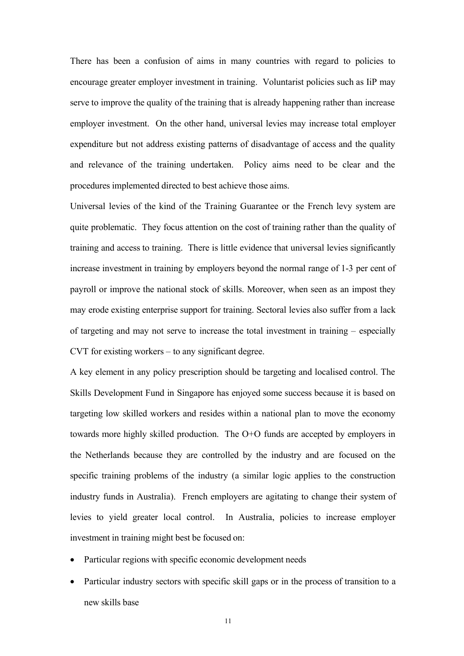There has been a confusion of aims in many countries with regard to policies to encourage greater employer investment in training. Voluntarist policies such as IiP may serve to improve the quality of the training that is already happening rather than increase employer investment. On the other hand, universal levies may increase total employer expenditure but not address existing patterns of disadvantage of access and the quality and relevance of the training undertaken. Policy aims need to be clear and the procedures implemented directed to best achieve those aims.

Universal levies of the kind of the Training Guarantee or the French levy system are quite problematic. They focus attention on the cost of training rather than the quality of training and access to training. There is little evidence that universal levies significantly increase investment in training by employers beyond the normal range of 1-3 per cent of payroll or improve the national stock of skills. Moreover, when seen as an impost they may erode existing enterprise support for training. Sectoral levies also suffer from a lack of targeting and may not serve to increase the total investment in training – especially CVT for existing workers – to any significant degree.

A key element in any policy prescription should be targeting and localised control. The Skills Development Fund in Singapore has enjoyed some success because it is based on targeting low skilled workers and resides within a national plan to move the economy towards more highly skilled production. The O+O funds are accepted by employers in the Netherlands because they are controlled by the industry and are focused on the specific training problems of the industry (a similar logic applies to the construction industry funds in Australia). French employers are agitating to change their system of levies to yield greater local control. In Australia, policies to increase employer investment in training might best be focused on:

- Particular regions with specific economic development needs
- Particular industry sectors with specific skill gaps or in the process of transition to a new skills base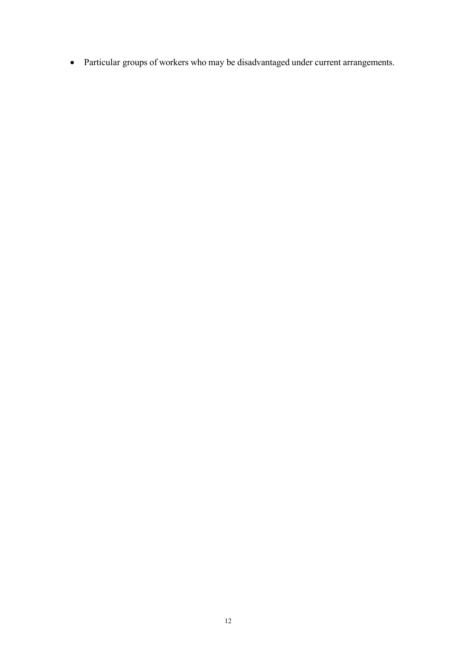Particular groups of workers who may be disadvantaged under current arrangements.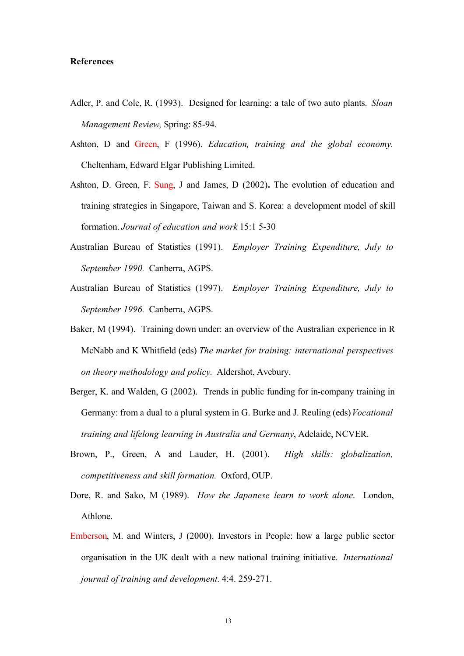### **References**

- Adler, P. and Cole, R. (1993). Designed for learning: a tale of two auto plants. *Sloan Management Review,* Spring: 85-94.
- Ashton, D and Green, F (1996). *Education, training and the global economy.* Cheltenham, Edward Elgar Publishing Limited.
- Ashton, D. Green, F. Sung, J and James, D (2002)**.** The evolution of education and training strategies in Singapore, Taiwan and S. Korea: a development model of skill formation. *Journal of education and work* 15:1 5-30
- Australian Bureau of Statistics (1991). *Employer Training Expenditure, July to September 1990.* Canberra, AGPS.
- Australian Bureau of Statistics (1997). *Employer Training Expenditure, July to September 1996.* Canberra, AGPS.
- Baker, M (1994). Training down under: an overview of the Australian experience in R McNabb and K Whitfield (eds) *The market for training: international perspectives on theory methodology and policy.* Aldershot, Avebury.
- Berger, K. and Walden, G (2002). Trends in public funding for in-company training in Germany: from a dual to a plural system in G. Burke and J. Reuling (eds)*Vocational training and lifelong learning in Australia and Germany*, Adelaide, NCVER.
- Brown, P., Green, A and Lauder, H. (2001). *High skills: globalization, competitiveness and skill formation.* Oxford, OUP.
- Dore, R. and Sako, M (1989). *How the Japanese learn to work alone*. London, Athlone.
- Emberson, M. and Winters, J (2000). Investors in People: how a large public sector organisation in the UK dealt with a new national training initiative. *International journal of training and development.* 4:4. 259-271.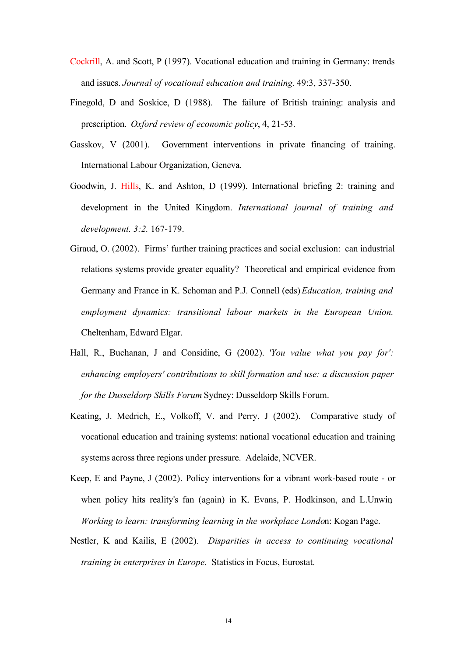- Cockrill, A. and Scott, P (1997). Vocational education and training in Germany: trends and issues. *Journal of vocational education and training.* 49:3, 337-350.
- Finegold, D and Soskice, D (1988). The failure of British training: analysis and prescription. *Oxford review of economic policy*, 4, 21-53.
- Gasskov, V (2001). Government interventions in private financing of training. International Labour Organization, Geneva.
- Goodwin, J. Hills, K. and Ashton, D (1999). International briefing 2: training and development in the United Kingdom. *International journal of training and development. 3:2.* 167-179.
- Giraud, O. (2002). Firms' further training practices and social exclusion: can industrial relations systems provide greater equality? Theoretical and empirical evidence from Germany and France in K. Schoman and P.J. Connell (eds) *Education, training and employment dynamics: transitional labour markets in the European Union.* Cheltenham, Edward Elgar.
- Hall, R., Buchanan, J and Considine, G (2002). *'You value what you pay for': enhancing employers' contributions to skill formation and use: a discussion paper for the Dusseldorp Skills Forum* Sydney: Dusseldorp Skills Forum.
- Keating, J. Medrich, E., Volkoff, V. and Perry, J (2002). Comparative study of vocational education and training systems: national vocational education and training systems across three regions under pressure. Adelaide, NCVER.
- Keep, E and Payne, J (2002). Policy interventions for a vibrant work-based route or when policy hits reality's fan (again) in K. Evans, P. Hodkinson, and L.Unwin *Working to learn: transforming learning in the workplace Londo*n: Kogan Page.
- Nestler, K and Kailis, E (2002). *Disparities in access to continuing vocational training in enterprises in Europe.* Statistics in Focus, Eurostat.